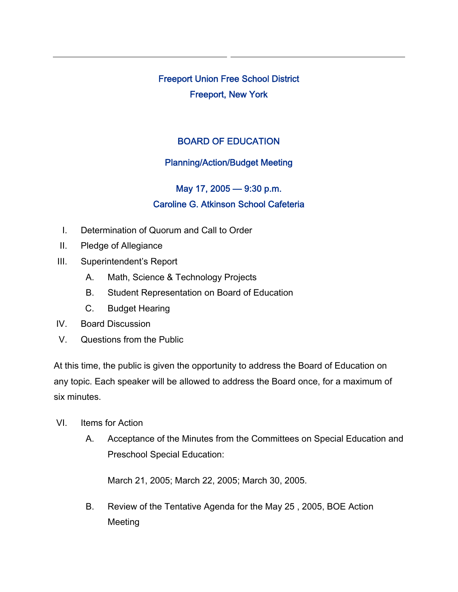Freeport Union Free School District Freeport, New York

## BOARD OF EDUCATION

## Planning/Action/Budget Meeting

## May 17, 2005 — 9:30 p.m. Caroline G. Atkinson School Cafeteria

- I. Determination of Quorum and Call to Order
- II. Pledge of Allegiance
- III. Superintendent's Report
	- A. Math, Science & Technology Projects
	- B. Student Representation on Board of Education
	- C. Budget Hearing
- IV. Board Discussion
- V. Questions from the Public

At this time, the public is given the opportunity to address the Board of Education on any topic. Each speaker will be allowed to address the Board once, for a maximum of six minutes.

- VI. Items for Action
	- A. Acceptance of the Minutes from the Committees on Special Education and Preschool Special Education:

March 21, 2005; March 22, 2005; March 30, 2005.

B. Review of the Tentative Agenda for the May 25 , 2005, BOE Action Meeting